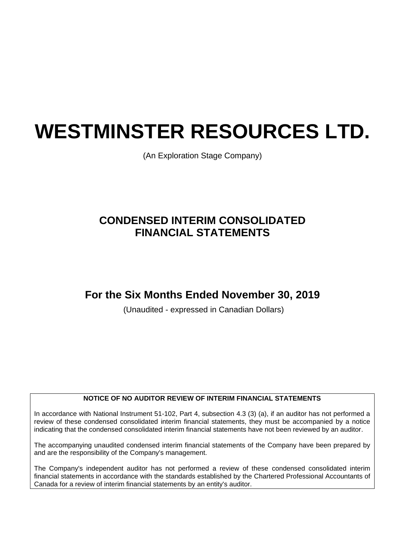# **WESTMINSTER RESOURCES LTD.**

(An Exploration Stage Company)

# **CONDENSED INTERIM CONSOLIDATED FINANCIAL STATEMENTS**

# **For the Six Months Ended November 30, 2019**

(Unaudited - expressed in Canadian Dollars)

# **NOTICE OF NO AUDITOR REVIEW OF INTERIM FINANCIAL STATEMENTS**

In accordance with National Instrument 51-102, Part 4, subsection 4.3 (3) (a), if an auditor has not performed a review of these condensed consolidated interim financial statements, they must be accompanied by a notice indicating that the condensed consolidated interim financial statements have not been reviewed by an auditor.

The accompanying unaudited condensed interim financial statements of the Company have been prepared by and are the responsibility of the Company's management.

The Company's independent auditor has not performed a review of these condensed consolidated interim financial statements in accordance with the standards established by the Chartered Professional Accountants of Canada for a review of interim financial statements by an entity's auditor.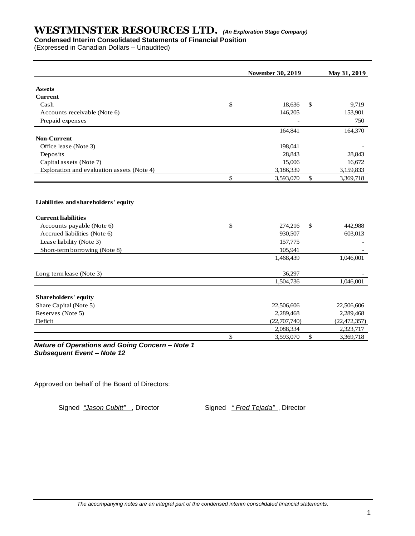# **Condensed Interim Consolidated Statements of Financial Position**

(Expressed in Canadian Dollars – Unaudited)

|                                            | November 30, 2019 | May 31, 2019    |
|--------------------------------------------|-------------------|-----------------|
| <b>Assets</b>                              |                   |                 |
| <b>Current</b>                             |                   |                 |
| Cash                                       | \$<br>18,636      | \$<br>9,719     |
| Accounts receivable (Note 6)               | 146,205           | 153,901         |
| Prepaid expenses                           |                   | 750             |
|                                            | 164,841           | 164,370         |
| <b>Non-Current</b>                         |                   |                 |
| Office lease (Note 3)                      | 198,041           |                 |
| Deposits                                   | 28,843            | 28,843          |
| Capital assets (Note 7)                    | 15,006            | 16,672          |
| Exploration and evaluation assets (Note 4) | 3,186,339         | 3,159,833       |
|                                            | \$<br>3,593,070   | \$<br>3,369,718 |
| Liabilities and shareholders' equity       |                   |                 |
| <b>Current liabilities</b>                 |                   |                 |
| Accounts payable (Note 6)                  | \$<br>274,216     | \$<br>442,988   |
| Accrued liabilities (Note 6)               | 930,507           | 603,013         |
| Lease liability (Note 3)                   | 157,775           |                 |
| Short-term borrowing (Note 8)              | 105,941           |                 |
|                                            | 1,468,439         | 1,046,001       |
| Long term lease (Note 3)                   | 36,297            |                 |
|                                            | 1,504,736         | 1,046,001       |
| <b>Shareholders' equity</b>                |                   |                 |
| Share Capital (Note 5)                     | 22,506,606        | 22,506,606      |
| Reserves (Note 5)                          | 2,289,468         | 2,289,468       |
| Deficit                                    | (22,707,740)      | (22, 472, 357)  |
|                                            | 2,088,334         | 2,323,717       |
|                                            | \$<br>3,593,070   | \$<br>3,369,718 |

*Nature of Operations and Going Concern – Note 1 Subsequent Event – Note 12*

Approved on behalf of the Board of Directors:

Signed *"Jason Cubitt"*, Director Signed *" Fred Tejada"*, Director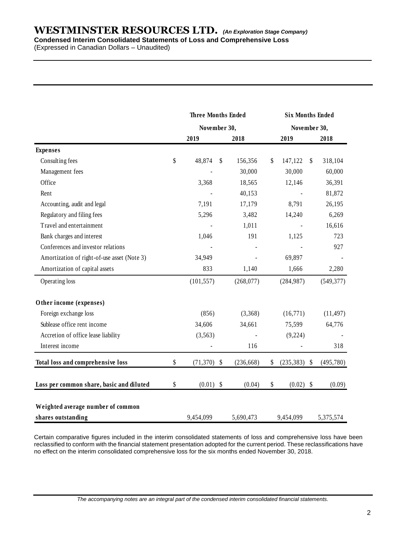# **WESTMINSTER RESOURCES LTD.** *(An Exploration Stage Company)* **Condensed Interim Consolidated Statements of Loss and Comprehensive Loss**

(Expressed in Canadian Dollars – Unaudited)

|                                             | <b>Three Months Ended</b><br>November 30, |             |                           | <b>Six Months Ended</b> |                   |                           |            |  |
|---------------------------------------------|-------------------------------------------|-------------|---------------------------|-------------------------|-------------------|---------------------------|------------|--|
|                                             |                                           |             |                           | November 30,            |                   |                           |            |  |
|                                             |                                           | 2019        |                           | 2018                    | 2019              |                           | 2018       |  |
| <b>Expenses</b>                             |                                           |             |                           |                         |                   |                           |            |  |
| Consulting fees                             | \$                                        | 48,874      | \$                        | 156,356                 | \$<br>147,122     | \$                        | 318,104    |  |
| Management fees                             |                                           |             |                           | 30,000                  | 30,000            |                           | 60,000     |  |
| Office                                      |                                           | 3,368       |                           | 18,565                  | 12,146            |                           | 36,391     |  |
| Rent                                        |                                           |             |                           | 40,153                  |                   |                           | 81,872     |  |
| Accounting, audit and legal                 |                                           | 7,191       |                           | 17,179                  | 8,791             |                           | 26,195     |  |
| Regulatory and filing fees                  |                                           | 5,296       |                           | 3,482                   | 14,240            |                           | 6,269      |  |
| Travel and entertainment                    |                                           |             |                           | 1,011                   |                   |                           | 16,616     |  |
| Bank charges and interest                   |                                           | 1,046       |                           | 191                     | 1,125             |                           | 723        |  |
| Conferences and investor relations          |                                           |             |                           |                         |                   |                           | 927        |  |
| Amortization of right-of-use asset (Note 3) |                                           | 34,949      |                           |                         | 69,897            |                           |            |  |
| Amortization of capital assets              |                                           | 833         |                           | 1,140                   | 1,666             |                           | 2,280      |  |
| Operating loss                              |                                           | (101, 557)  |                           | (268, 077)              | (284, 987)        |                           | (549, 377) |  |
| Other income (expenses)                     |                                           |             |                           |                         |                   |                           |            |  |
| Foreign exchange loss                       |                                           | (856)       |                           | (3,368)                 | (16,771)          |                           | (11, 497)  |  |
| Sublease office rent income                 |                                           | 34,606      |                           | 34,661                  | 75,599            |                           | 64,776     |  |
| Accretion of office lease liability         |                                           | (3,563)     |                           |                         | (9,224)           |                           |            |  |
| Interest income                             |                                           |             |                           | 116                     |                   |                           | 318        |  |
| Total loss and comprehensive loss           | \$                                        | (71, 370)   | $\boldsymbol{\mathsf{S}}$ | (236, 668)              | \$<br>(235, 383)  | $\boldsymbol{\mathsf{S}}$ | (495, 780) |  |
| Loss per common share, basic and diluted    | \$                                        | $(0.01)$ \$ |                           | (0.04)                  | \$<br>$(0.02)$ \$ |                           | (0.09)     |  |
| Weighted average number of common           |                                           |             |                           |                         |                   |                           |            |  |
| shares outstanding                          |                                           | 9,454,099   |                           | 5,690,473               | 9,454,099         |                           | 5,375,574  |  |

Certain comparative figures included in the interim consolidated statements of loss and comprehensive loss have been reclassified to conform with the financial statement presentation adopted for the current period. These reclassifications have no effect on the interim consolidated comprehensive loss for the six months ended November 30, 2018.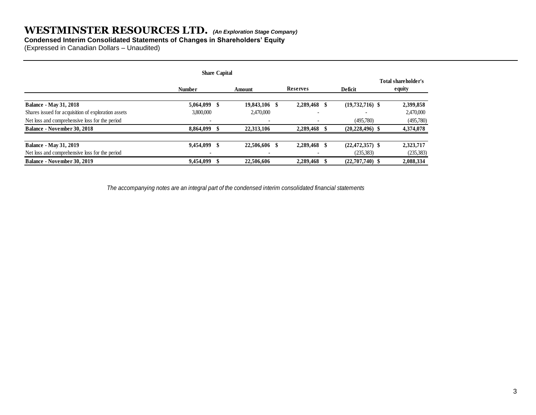# **Condensed Interim Consolidated Statements of Changes in Shareholders' Equity**

(Expressed in Canadian Dollars – Unaudited)

|                                                     | <b>Share Capital</b> |               |    |                 |    |                     |                               |
|-----------------------------------------------------|----------------------|---------------|----|-----------------|----|---------------------|-------------------------------|
|                                                     | <b>Number</b>        | Amount        |    | <b>Reserves</b> |    | <b>Deficit</b>      | Total shareholder's<br>equity |
| <b>Balance - May 31, 2018</b>                       | $5,064,099$ \$       | 19,843,106 \$ |    | 2,289,468       | -S | $(19,732,716)$ \$   | 2,399,858                     |
| Shares issued for acquisition of exploration assets | 3,800,000            | 2,470,000     |    |                 |    |                     | 2,470,000                     |
| Net loss and comprehensive loss for the period      |                      |               |    |                 |    | (495,780)           | (495,780)                     |
| <b>Balance - November 30, 2018</b>                  | 8,864,099            | 22,313,106    |    | 2,289,468       |    | $(20, 228, 496)$ \$ | 4,374,078                     |
| <b>Balance - May 31, 2019</b>                       | 9,454,099 \$         | 22,506,606    | -8 | 2,289,468       | -S | $(22, 472, 357)$ \$ | 2,323,717                     |
| Net loss and comprehensive loss for the period      |                      |               |    |                 |    | (235, 383)          | (235, 383)                    |
| <b>Balance - November 30, 2019</b>                  | 9,454,099            | 22,506,606    |    | 2,289,468       |    | $(22,707,740)$ \$   | 2,088,334                     |

 *The accompanying notes are an integral part of the condensed interim consolidated financial statements*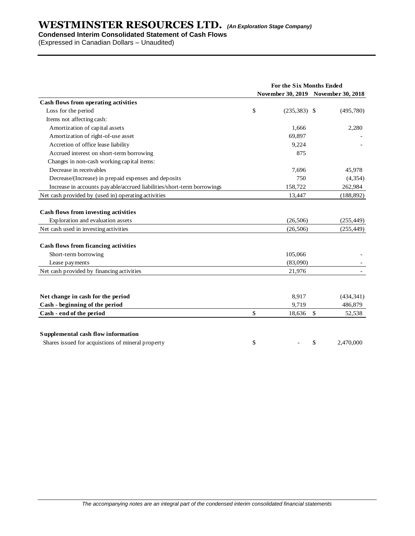# **Condensed Interim Consolidated Statement of Cash Flows**

(Expressed in Canadian Dollars – Unaudited)

|                                                                                                                    | For the Six Months Ended |                        |                                     |  |  |
|--------------------------------------------------------------------------------------------------------------------|--------------------------|------------------------|-------------------------------------|--|--|
|                                                                                                                    |                          |                        | November 30, 2019 November 30, 2018 |  |  |
| Cash flows from operating activities                                                                               |                          |                        |                                     |  |  |
| Loss for the period                                                                                                | \$                       | $(235, 383)$ \$        | (495,780)                           |  |  |
| Items not affecting cash:                                                                                          |                          |                        |                                     |  |  |
| Amortization of capital assets                                                                                     |                          | 1,666                  | 2,280                               |  |  |
| Amortization of right-of-use asset                                                                                 |                          | 69,897                 |                                     |  |  |
| Accretion of office lease liability                                                                                |                          | 9,224                  |                                     |  |  |
| Accrued interest on short-term borrowing                                                                           |                          | 875                    |                                     |  |  |
| Changes in non-cash working capital items:                                                                         |                          |                        |                                     |  |  |
| Decrease in receivables                                                                                            |                          | 7,696                  | 45,978                              |  |  |
| Decrease/(Increase) in prepaid expenses and deposits                                                               |                          | 750                    | (4, 354)                            |  |  |
| Increase in accounts payable/accrued liabilities/short-term borrowings                                             |                          | 158,722                | 262,984                             |  |  |
| Net cash provided by (used in) operating activities                                                                |                          | 13,447                 | (188, 892)                          |  |  |
| Cash flows from investing activities<br>Exploration and evaluation assets<br>Net cash used in investing activities |                          | (26, 506)<br>(26, 506) | (255, 449)<br>(255, 449)            |  |  |
| <b>Cash flows from ficancing activities</b>                                                                        |                          |                        |                                     |  |  |
| Short-term borrowing                                                                                               |                          | 105,066                |                                     |  |  |
| Lease payments                                                                                                     |                          | (83,090)               |                                     |  |  |
| Net cash provided by financing activities                                                                          |                          | 21,976                 |                                     |  |  |
| Net change in cash for the period                                                                                  |                          | 8,917                  | (434, 341)                          |  |  |
| Cash - beginning of the period                                                                                     |                          | 9,719                  | 486,879                             |  |  |
| Cash - end of the period                                                                                           | \$                       | 18,636                 | $\sqrt{3}$<br>52,538                |  |  |
|                                                                                                                    |                          |                        |                                     |  |  |
| Supplemental cash flow information                                                                                 |                          |                        |                                     |  |  |
| Shares issued for acquistions of mineral property                                                                  | \$                       |                        | \$<br>2,470,000                     |  |  |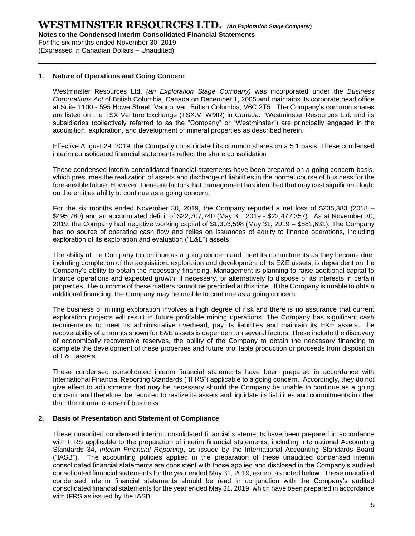For the six months ended November 30, 2019 (Expressed in Canadian Dollars – Unaudited)

# **1. Nature of Operations and Going Concern**

Westminster Resources Ltd. *(an Exploration Stage Company)* was incorporated under the *Business Corporations Act* of British Columbia, Canada on December 1, 2005 and maintains its corporate head office at Suite 1100 - 595 Howe Street, Vancouver, British Columbia, V6C 2T5. The Company's common shares are listed on the TSX Venture Exchange (TSX.V: WMR) in Canada. Westminster Resources Ltd. and its subsidiaries (collectively referred to as the "Company" or "Westminster") are principally engaged in the acquisition, exploration, and development of mineral properties as described herein.

Effective August 29, 2019, the Company consolidated its common shares on a 5:1 basis. These condensed interim consolidated financial statements reflect the share consolidation

These condensed interim consolidated financial statements have been prepared on a going concern basis, which presumes the realization of assets and discharge of liabilities in the normal course of business for the foreseeable future. However, there are factors that management has identified that may cast significant doubt on the entities ability to continue as a going concern.

For the six months ended November 30, 2019, the Company reported a net loss of \$235,383 (2018 – \$495,780) and an accumulated deficit of \$22,707,740 (May 31, 2019 - \$22,472,357). As at November 30, 2019, the Company had negative working capital of \$1,303,598 (May 31, 2019 – \$881,631). The Company has no source of operating cash flow and relies on issuances of equity to finance operations, including exploration of its exploration and evaluation ("E&E") assets.

The ability of the Company to continue as a going concern and meet its commitments as they become due, including completion of the acquisition, exploration and development of its E&E assets, is dependent on the Company's ability to obtain the necessary financing. Management is planning to raise additional capital to finance operations and expected growth, if necessary, or alternatively to dispose of its interests in certain properties. The outcome of these matters cannot be predicted at this time. If the Company is unable to obtain additional financing, the Company may be unable to continue as a going concern.

The business of mining exploration involves a high degree of risk and there is no assurance that current exploration projects will result in future profitable mining operations. The Company has significant cash requirements to meet its administrative overhead, pay its liabilities and maintain its E&E assets. The recoverability of amounts shown for E&E assets is dependent on several factors. These include the discovery of economically recoverable reserves, the ability of the Company to obtain the necessary financing to complete the development of these properties and future profitable production or proceeds from disposition of E&E assets.

These condensed consolidated interim financial statements have been prepared in accordance with International Financial Reporting Standards ("IFRS") applicable to a going concern. Accordingly, they do not give effect to adjustments that may be necessary should the Company be unable to continue as a going concern, and therefore, be required to realize its assets and liquidate its liabilities and commitments in other than the normal course of business.

## **2. Basis of Presentation and Statement of Compliance**

These unaudited condensed interim consolidated financial statements have been prepared in accordance with IFRS applicable to the preparation of interim financial statements, including International Accounting Standards 34, *Interim Financial Reporting*, as issued by the International Accounting Standards Board ("IASB"). The accounting policies applied in the preparation of these unaudited condensed interim consolidated financial statements are consistent with those applied and disclosed in the Company's audited consolidated financial statements for the year ended May 31, 2019, except as noted below. These unaudited condensed interim financial statements should be read in conjunction with the Company's audited consolidated financial statements for the year ended May 31, 2019, which have been prepared in accordance with IFRS as issued by the IASB.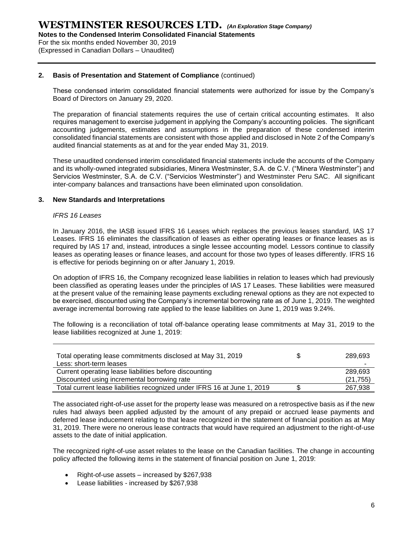For the six months ended November 30, 2019 (Expressed in Canadian Dollars – Unaudited)

# **2. Basis of Presentation and Statement of Compliance** (continued)

These condensed interim consolidated financial statements were authorized for issue by the Company's Board of Directors on January 29, 2020.

The preparation of financial statements requires the use of certain critical accounting estimates. It also requires management to exercise judgement in applying the Company's accounting policies. The significant accounting judgements, estimates and assumptions in the preparation of these condensed interim consolidated financial statements are consistent with those applied and disclosed in Note 2 of the Company's audited financial statements as at and for the year ended May 31, 2019.

These unaudited condensed interim consolidated financial statements include the accounts of the Company and its wholly-owned integrated subsidiaries, Minera Westminster, S.A. de C.V. ("Minera Westminster") and Servicios Westminster, S.A. de C.V. ("Servicios Westminster") and Westminster Peru SAC. All significant inter-company balances and transactions have been eliminated upon consolidation.

## **3. New Standards and Interpretations**

## *IFRS 16 Leases*

In January 2016, the IASB issued IFRS 16 Leases which replaces the previous leases standard, IAS 17 Leases. IFRS 16 eliminates the classification of leases as either operating leases or finance leases as is required by IAS 17 and, instead, introduces a single lessee accounting model. Lessors continue to classify leases as operating leases or finance leases, and account for those two types of leases differently. IFRS 16 is effective for periods beginning on or after January 1, 2019.

On adoption of IFRS 16, the Company recognized lease liabilities in relation to leases which had previously been classified as operating leases under the principles of IAS 17 Leases. These liabilities were measured at the present value of the remaining lease payments excluding renewal options as they are not expected to be exercised, discounted using the Company's incremental borrowing rate as of June 1, 2019. The weighted average incremental borrowing rate applied to the lease liabilities on June 1, 2019 was 9.24%.

The following is a reconciliation of total off-balance operating lease commitments at May 31, 2019 to the lease liabilities recognized at June 1, 2019:

| Total operating lease commitments disclosed at May 31, 2019<br>Less: short-term leases | 289,693   |
|----------------------------------------------------------------------------------------|-----------|
| Current operating lease liabilities before discounting                                 | 289.693   |
| Discounted using incremental borrowing rate                                            | (21, 755) |
| Total current lease liabilities recognized under IFRS 16 at June 1, 2019               | 267,938   |

The associated right-of-use asset for the property lease was measured on a retrospective basis as if the new rules had always been applied adjusted by the amount of any prepaid or accrued lease payments and deferred lease inducement relating to that lease recognized in the statement of financial position as at May 31, 2019. There were no onerous lease contracts that would have required an adjustment to the right-of-use assets to the date of initial application.

The recognized right-of-use asset relates to the lease on the Canadian facilities. The change in accounting policy affected the following items in the statement of financial position on June 1, 2019:

- Right-of-use assets increased by \$267,938
- Lease liabilities increased by \$267,938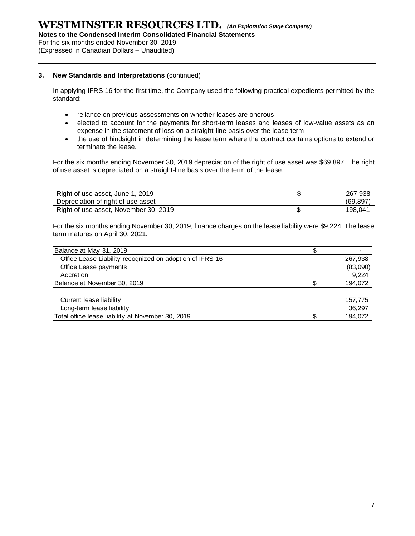**Notes to the Condensed Interim Consolidated Financial Statements**

For the six months ended November 30, 2019

(Expressed in Canadian Dollars – Unaudited)

# **3. New Standards and Interpretations** (continued)

In applying IFRS 16 for the first time, the Company used the following practical expedients permitted by the standard:

- reliance on previous assessments on whether leases are onerous
- elected to account for the payments for short-term leases and leases of low-value assets as an expense in the statement of loss on a straight-line basis over the lease term
- the use of hindsight in determining the lease term where the contract contains options to extend or terminate the lease.

For the six months ending November 30, 2019 depreciation of the right of use asset was \$69,897. The right of use asset is depreciated on a straight-line basis over the term of the lease.

| Right of use asset, June 1, 2019<br>Depreciation of right of use asset | 267.938<br>(69, 897) |
|------------------------------------------------------------------------|----------------------|
| Right of use asset, November 30, 2019                                  | 198.041              |

For the six months ending November 30, 2019, finance charges on the lease liability were \$9,224. The lease term matures on April 30, 2021.

| Balance at May 31, 2019                                  |          |
|----------------------------------------------------------|----------|
| Office Lease Liability recognized on adoption of IFRS 16 | 267,938  |
| Office Lease payments                                    | (83,090) |
| Accretion                                                | 9,224    |
| Balance at November 30, 2019                             | 194,072  |
|                                                          |          |
| Current lease liability                                  | 157,775  |
| Long-term lease liability                                | 36,297   |
| Total office lease liability at November 30, 2019        | 194,072  |
|                                                          |          |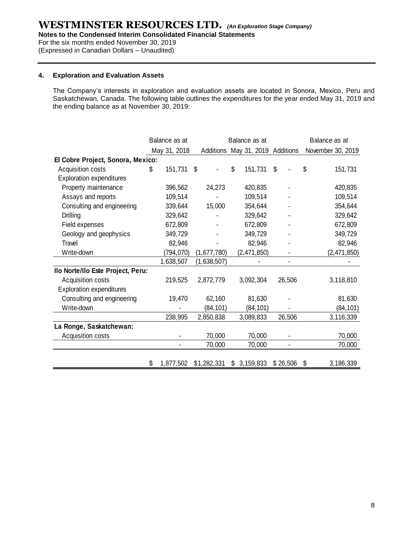**Notes to the Condensed Interim Consolidated Financial Statements**

For the six months ended November 30, 2019

(Expressed in Canadian Dollars – Unaudited)

# **4. Exploration and Evaluation Assets**

The Company's interests in exploration and evaluation assets are located in Sonora, Mexico, Peru and Saskatchewan, Canada. The following table outlines the expenditures for the year ended May 31, 2019 and the ending balance as at November 30, 2019:

|                                   |    | Balance as at<br>Balance as at |    |             |    | Balance as at                    |                |                   |
|-----------------------------------|----|--------------------------------|----|-------------|----|----------------------------------|----------------|-------------------|
|                                   |    | May 31, 2018                   |    |             |    | Additions May 31, 2019 Additions |                | November 30, 2019 |
| El Cobre Project, Sonora, Mexico: |    |                                |    |             |    |                                  |                |                   |
| Acquisition costs                 | S  | 151,731                        | \$ |             | \$ | 151,731                          | \$             | \$<br>151,731     |
| <b>Exploration expenditures</b>   |    |                                |    |             |    |                                  |                |                   |
| Property maintenance              |    | 396,562                        |    | 24,273      |    | 420,835                          |                | 420,835           |
| Assays and reports                |    | 109,514                        |    |             |    | 109,514                          |                | 109,514           |
| Consulting and engineering        |    | 339,644                        |    | 15,000      |    | 354,644                          |                | 354,644           |
| <b>Drilling</b>                   |    | 329,642                        |    |             |    | 329,642                          |                | 329,642           |
| Field expenses                    |    | 672,809                        |    |             |    | 672,809                          |                | 672,809           |
| Geology and geophysics            |    | 349,729                        |    |             |    | 349,729                          |                | 349,729           |
| Travel                            |    | 82,946                         |    |             |    | 82,946                           |                | 82,946            |
| Write-down                        |    | (794, 070)                     |    | (1,677,780) |    | (2,471,850)                      |                | (2,471,850)       |
|                                   |    | 1,638,507                      |    | (1,638,507) |    |                                  |                |                   |
| Ilo Norte/Ilo Este Project, Peru: |    |                                |    |             |    |                                  |                |                   |
| Acquisition costs                 |    | 219,525                        |    | 2,872,779   |    | 3,092,304                        | 26,506         | 3,118,810         |
| <b>Exploration expenditures</b>   |    |                                |    |             |    |                                  |                |                   |
| Consulting and engineering        |    | 19,470                         |    | 62,160      |    | 81,630                           |                | 81,630            |
| Write-down                        |    |                                |    | (84, 101)   |    | (84, 101)                        |                | (84, 101)         |
|                                   |    | 238,995                        |    | 2,850,838   |    | 3,089,833                        | 26,506         | 3,116,339         |
| La Ronge, Saskatchewan:           |    |                                |    |             |    |                                  |                |                   |
| Acquisition costs                 |    |                                |    | 70,000      |    | 70,000                           |                | 70,000            |
|                                   |    |                                |    | 70,000      |    | 70,000                           | $\blacksquare$ | 70,000            |
|                                   |    |                                |    |             |    |                                  |                |                   |
|                                   | \$ | 1,877,502                      |    | \$1,282,331 |    | \$3,159,833                      | \$26,506       | \$<br>3,186,339   |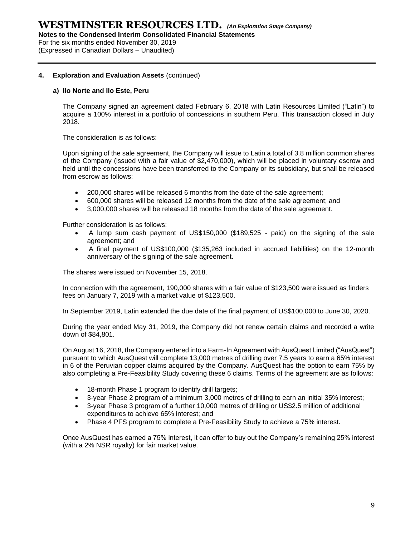**Notes to the Condensed Interim Consolidated Financial Statements**

For the six months ended November 30, 2019 (Expressed in Canadian Dollars – Unaudited)

# **4. Exploration and Evaluation Assets** (continued)

# **a) Ilo Norte and Ilo Este, Peru**

The Company signed an agreement dated February 6, 2018 with Latin Resources Limited ("Latin") to acquire a 100% interest in a portfolio of concessions in southern Peru. This transaction closed in July 2018.

The consideration is as follows:

Upon signing of the sale agreement, the Company will issue to Latin a total of 3.8 million common shares of the Company (issued with a fair value of \$2,470,000), which will be placed in voluntary escrow and held until the concessions have been transferred to the Company or its subsidiary, but shall be released from escrow as follows:

- 200,000 shares will be released 6 months from the date of the sale agreement;
- 600,000 shares will be released 12 months from the date of the sale agreement; and
- 3,000,000 shares will be released 18 months from the date of the sale agreement.

Further consideration is as follows:

- A lump sum cash payment of US\$150,000 (\$189,525 paid) on the signing of the sale agreement; and
- A final payment of US\$100,000 (\$135,263 included in accrued liabilities) on the 12-month anniversary of the signing of the sale agreement.

The shares were issued on November 15, 2018.

In connection with the agreement, 190,000 shares with a fair value of \$123,500 were issued as finders fees on January 7, 2019 with a market value of \$123,500.

In September 2019, Latin extended the due date of the final payment of US\$100,000 to June 30, 2020.

During the year ended May 31, 2019, the Company did not renew certain claims and recorded a write down of \$84,801.

On August 16, 2018, the Company entered into a Farm-In Agreement with AusQuest Limited ("AusQuest") pursuant to which AusQuest will complete 13,000 metres of drilling over 7.5 years to earn a 65% interest in 6 of the Peruvian copper claims acquired by the Company. AusQuest has the option to earn 75% by also completing a Pre-Feasibility Study covering these 6 claims. Terms of the agreement are as follows:

- 18-month Phase 1 program to identify drill targets;
- 3-year Phase 2 program of a minimum 3,000 metres of drilling to earn an initial 35% interest;
- 3-year Phase 3 program of a further 10,000 metres of drilling or US\$2.5 million of additional expenditures to achieve 65% interest; and
- Phase 4 PFS program to complete a Pre-Feasibility Study to achieve a 75% interest.

Once AusQuest has earned a 75% interest, it can offer to buy out the Company's remaining 25% interest (with a 2% NSR royalty) for fair market value.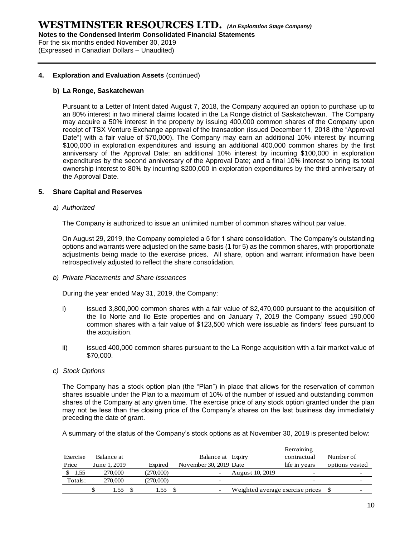**Notes to the Condensed Interim Consolidated Financial Statements**

For the six months ended November 30, 2019 (Expressed in Canadian Dollars – Unaudited)

## **4. Exploration and Evaluation Assets** (continued)

## **b) La Ronge, Saskatchewan**

Pursuant to a Letter of Intent dated August 7, 2018, the Company acquired an option to purchase up to an 80% interest in two mineral claims located in the La Ronge district of Saskatchewan. The Company may acquire a 50% interest in the property by issuing 400,000 common shares of the Company upon receipt of TSX Venture Exchange approval of the transaction (issued December 11, 2018 (the "Approval Date") with a fair value of \$70,000). The Company may earn an additional 10% interest by incurring \$100,000 in exploration expenditures and issuing an additional 400,000 common shares by the first anniversary of the Approval Date; an additional 10% interest by incurring \$100,000 in exploration expenditures by the second anniversary of the Approval Date; and a final 10% interest to bring its total ownership interest to 80% by incurring \$200,000 in exploration expenditures by the third anniversary of the Approval Date.

# **5. Share Capital and Reserves**

## *a) Authorized*

The Company is authorized to issue an unlimited number of common shares without par value.

On August 29, 2019, the Company completed a 5 for 1 share consolidation. The Company's outstanding options and warrants were adjusted on the same basis (1 for 5) as the common shares, with proportionate adjustments being made to the exercise prices. All share, option and warrant information have been retrospectively adjusted to reflect the share consolidation.

*b) Private Placements and Share Issuances*

During the year ended May 31, 2019, the Company:

- i) issued 3,800,000 common shares with a fair value of \$2,470,000 pursuant to the acquisition of the Ilo Norte and Ilo Este properties and on January 7, 2019 the Company issued 190,000 common shares with a fair value of \$123,500 which were issuable as finders' fees pursuant to the acquisition.
- ii) issued 400,000 common shares pursuant to the La Ronge acquisition with a fair market value of \$70,000.
- *c) Stock Options*

The Company has a stock option plan (the "Plan") in place that allows for the reservation of common shares issuable under the Plan to a maximum of 10% of the number of issued and outstanding common shares of the Company at any given time. The exercise price of any stock option granted under the plan may not be less than the closing price of the Company's shares on the last business day immediately preceding the date of grant.

A summary of the status of the Company's stock options as at November 30, 2019 is presented below:

|          |              |           |                          |                                  | Remaining                |                |
|----------|--------------|-----------|--------------------------|----------------------------------|--------------------------|----------------|
| Exercise | Balance at   |           | Balance at Expiry        |                                  | contractual              | Number of      |
| Price    | June 1, 2019 | Expired   | November 30, 2019 Date   |                                  | life in vears            | options vested |
| 1.55     | 270,000      | (270,000) |                          | August 10, 2019                  |                          |                |
| Totals:  | 270,000      | (270,000) | $\overline{\phantom{0}}$ |                                  | $\overline{\phantom{0}}$ |                |
|          | l.55         | l.55      | $\overline{\phantom{0}}$ | Weighted average exercise prices |                          | -              |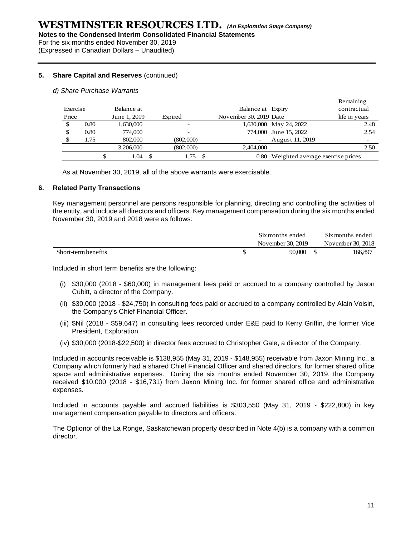For the six months ended November 30, 2019 (Expressed in Canadian Dollars – Unaudited)

# **5. Share Capital and Reserves** (continued)

## *d) Share Purchase Warrants*

|          |      |   |              |           |                        |                                       | Remaining     |                          |
|----------|------|---|--------------|-----------|------------------------|---------------------------------------|---------------|--------------------------|
| Exercise |      |   | Balance at   |           | Balance at Expiry      |                                       | contractual   |                          |
| Price    |      |   | June 1, 2019 | Expired   | November 30, 2019 Date |                                       | life in years |                          |
|          | 0.80 |   | 1,630,000    |           |                        | 1,630,000 May 24, 2022                |               | 2.48                     |
| S        | 0.80 |   | 774,000      |           |                        | 774,000 June 15, 2022                 |               | 2.54                     |
|          | 1.75 |   | 802,000      | (802,000) |                        | August 11, 2019                       |               | $\overline{\phantom{0}}$ |
|          |      |   | 3.206.000    | (802,000) | 2.404,000              |                                       |               | 2.50                     |
|          |      | S | 1.04         | 1.75      |                        | 0.80 Weighted average exercise prices |               |                          |

As at November 30, 2019, all of the above warrants were exercisable.

## **6. Related Party Transactions**

Key management personnel are persons responsible for planning, directing and controlling the activities of the entity, and include all directors and officers. Key management compensation during the six months ended November 30, 2019 and 2018 were as follows:

|                     | Six months ended  | Six months ended  |
|---------------------|-------------------|-------------------|
|                     | November 30, 2019 | November 30, 2018 |
| Short-term benefits | 90.000            | 166,897           |

Included in short term benefits are the following:

- (i) \$30,000 (2018 \$60,000) in management fees paid or accrued to a company controlled by Jason Cubitt, a director of the Company.
- (ii) \$30,000 (2018 \$24,750) in consulting fees paid or accrued to a company controlled by Alain Voisin, the Company's Chief Financial Officer.
- (iii) \$Nil (2018 \$59,647) in consulting fees recorded under E&E paid to Kerry Griffin, the former Vice President, Exploration.
- (iv) \$30,000 (2018-\$22,500) in director fees accrued to Christopher Gale, a director of the Company.

Included in accounts receivable is \$138,955 (May 31, 2019 - \$148,955) receivable from Jaxon Mining Inc., a Company which formerly had a shared Chief Financial Officer and shared directors, for former shared office space and administrative expenses. During the six months ended November 30, 2019, the Company received \$10,000 (2018 - \$16,731) from Jaxon Mining Inc. for former shared office and administrative expenses.

Included in accounts payable and accrued liabilities is \$303,550 (May 31, 2019 - \$222,800) in key management compensation payable to directors and officers.

The Optionor of the La Ronge, Saskatchewan property described in Note 4(b) is a company with a common director.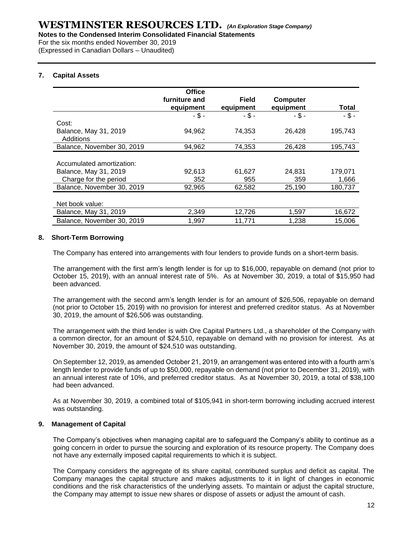For the six months ended November 30, 2019

(Expressed in Canadian Dollars – Unaudited)

# **7. Capital Assets**

|                            | <b>Office</b> |              |           |          |
|----------------------------|---------------|--------------|-----------|----------|
|                            | furniture and | <b>Field</b> | Computer  |          |
|                            | equipment     | equipment    | equipment | Total    |
|                            | $-$ \$ -      | $-$ \$ -     | $-$ \$ -  | $-$ \$ - |
| Cost:                      |               |              |           |          |
| Balance, May 31, 2019      | 94,962        | 74,353       | 26,428    | 195,743  |
| Additions                  |               |              |           |          |
| Balance, November 30, 2019 | 94,962        | 74,353       | 26,428    | 195,743  |
|                            |               |              |           |          |
| Accumulated amortization:  |               |              |           |          |
| Balance, May 31, 2019      | 92,613        | 61,627       | 24.831    | 179,071  |
| Charge for the period      | 352           | 955          | 359       | 1,666    |
| Balance, November 30, 2019 | 92,965        | 62,582       | 25,190    | 180,737  |
|                            |               |              |           |          |
| Net book value:            |               |              |           |          |
| Balance, May 31, 2019      | 2,349         | 12,726       | 1,597     | 16,672   |
| Balance, November 30, 2019 | 1,997         | 11,771       | 1,238     | 15,006   |

# **8. Short-Term Borrowing**

The Company has entered into arrangements with four lenders to provide funds on a short-term basis.

The arrangement with the first arm's length lender is for up to \$16,000, repayable on demand (not prior to October 15, 2019), with an annual interest rate of 5%. As at November 30, 2019, a total of \$15,950 had been advanced.

The arrangement with the second arm's length lender is for an amount of \$26,506, repayable on demand (not prior to October 15, 2019) with no provision for interest and preferred creditor status. As at November 30, 2019, the amount of \$26,506 was outstanding.

The arrangement with the third lender is with Ore Capital Partners Ltd., a shareholder of the Company with a common director, for an amount of \$24,510, repayable on demand with no provision for interest. As at November 30, 2019, the amount of \$24,510 was outstanding.

On September 12, 2019, as amended October 21, 2019, an arrangement was entered into with a fourth arm's length lender to provide funds of up to \$50,000, repayable on demand (not prior to December 31, 2019), with an annual interest rate of 10%, and preferred creditor status. As at November 30, 2019, a total of \$38,100 had been advanced.

As at November 30, 2019, a combined total of \$105,941 in short-term borrowing including accrued interest was outstanding.

# **9. Management of Capital**

The Company's objectives when managing capital are to safeguard the Company's ability to continue as a going concern in order to pursue the sourcing and exploration of its resource property. The Company does not have any externally imposed capital requirements to which it is subject.

The Company considers the aggregate of its share capital, contributed surplus and deficit as capital. The Company manages the capital structure and makes adjustments to it in light of changes in economic conditions and the risk characteristics of the underlying assets. To maintain or adjust the capital structure, the Company may attempt to issue new shares or dispose of assets or adjust the amount of cash.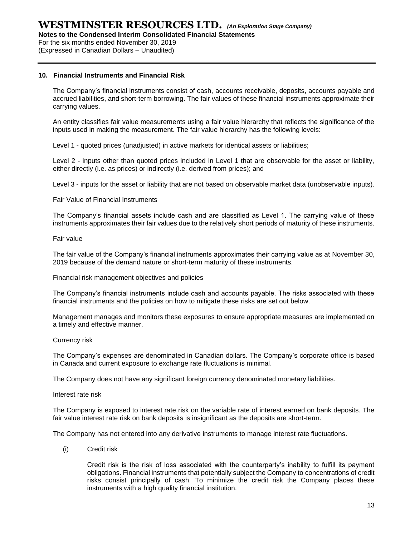For the six months ended November 30, 2019

(Expressed in Canadian Dollars – Unaudited)

# **10. Financial Instruments and Financial Risk**

The Company's financial instruments consist of cash, accounts receivable, deposits, accounts payable and accrued liabilities, and short-term borrowing. The fair values of these financial instruments approximate their carrying values.

An entity classifies fair value measurements using a fair value hierarchy that reflects the significance of the inputs used in making the measurement. The fair value hierarchy has the following levels:

Level 1 - quoted prices (unadjusted) in active markets for identical assets or liabilities;

Level 2 - inputs other than quoted prices included in Level 1 that are observable for the asset or liability, either directly (i.e. as prices) or indirectly (i.e. derived from prices); and

Level 3 - inputs for the asset or liability that are not based on observable market data (unobservable inputs).

Fair Value of Financial Instruments

The Company's financial assets include cash and are classified as Level 1. The carrying value of these instruments approximates their fair values due to the relatively short periods of maturity of these instruments.

Fair value

The fair value of the Company's financial instruments approximates their carrying value as at November 30, 2019 because of the demand nature or short‐term maturity of these instruments.

Financial risk management objectives and policies

The Company's financial instruments include cash and accounts payable. The risks associated with these financial instruments and the policies on how to mitigate these risks are set out below.

Management manages and monitors these exposures to ensure appropriate measures are implemented on a timely and effective manner.

## Currency risk

The Company's expenses are denominated in Canadian dollars. The Company's corporate office is based in Canada and current exposure to exchange rate fluctuations is minimal.

The Company does not have any significant foreign currency denominated monetary liabilities.

Interest rate risk

The Company is exposed to interest rate risk on the variable rate of interest earned on bank deposits. The fair value interest rate risk on bank deposits is insignificant as the deposits are short-term.

The Company has not entered into any derivative instruments to manage interest rate fluctuations.

(i) Credit risk

Credit risk is the risk of loss associated with the counterparty's inability to fulfill its payment obligations. Financial instruments that potentially subject the Company to concentrations of credit risks consist principally of cash. To minimize the credit risk the Company places these instruments with a high quality financial institution.